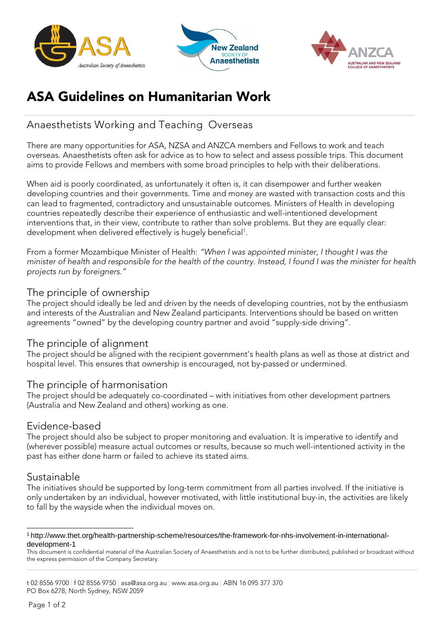





# ASA Guidelines on Humanitarian Work

# Anaesthetists Working and Teaching Overseas

There are many opportunities for ASA, NZSA and ANZCA members and Fellows to work and teach overseas. Anaesthetists often ask for advice as to how to select and assess possible trips. This document aims to provide Fellows and members with some broad principles to help with their deliberations.

When aid is poorly coordinated, as unfortunately it often is, it can disempower and further weaken developing countries and their governments. Time and money are wasted with transaction costs and this can lead to fragmented, contradictory and unsustainable outcomes. Ministers of Health in developing countries repeatedly describe their experience of enthusiastic and well-intentioned development interventions that, in their view, contribute to rather than solve problems. But they are equally clear: development when delivered effectively is hugely beneficial<sup>1</sup>.

From a former Mozambique Minister of Health: *"When I was appointed minister, I thought I was the minister of health and responsible for the health of the country. Instead, I found I was the minister for health projects run by foreigners."*

#### The principle of ownership

The project should ideally be led and driven by the needs of developing countries, not by the enthusiasm and interests of the Australian and New Zealand participants. Interventions should be based on written agreements "owned" by the developing country partner and avoid "supply-side driving".

#### The principle of alignment

The project should be aligned with the recipient government's health plans as well as those at district and hospital level. This ensures that ownership is encouraged, not by-passed or undermined.

#### The principle of harmonisation

The project should be adequately co-coordinated – with initiatives from other development partners (Australia and New Zealand and others) working as one.

#### Evidence-based

The project should also be subject to proper monitoring and evaluation. It is imperative to identify and (wherever possible) measure actual outcomes or results, because so much well-intentioned activity in the past has either done harm or failed to achieve its stated aims.

## Sustainable

The initiatives should be supported by long-term commitment from all parties involved. If the initiative is only undertaken by an individual, however motivated, with little institutional buy-in, the activities are likely to fall by the wayside when the individual moves on.

<span id="page-0-0"></span>[<sup>1</sup> http://www.thet.org/health-partnership-scheme/resources/the-framework-for-nhs-involvement-in-international](http://www.thet.org/health-partnership-scheme/resources/the-framework-for-nhs-involvement-in-international-)development-1

This document is confidential material of the Australian Society of Anaesthetists and is not to be further distributed, published or broadcast without the express permission of the Company Secretary.